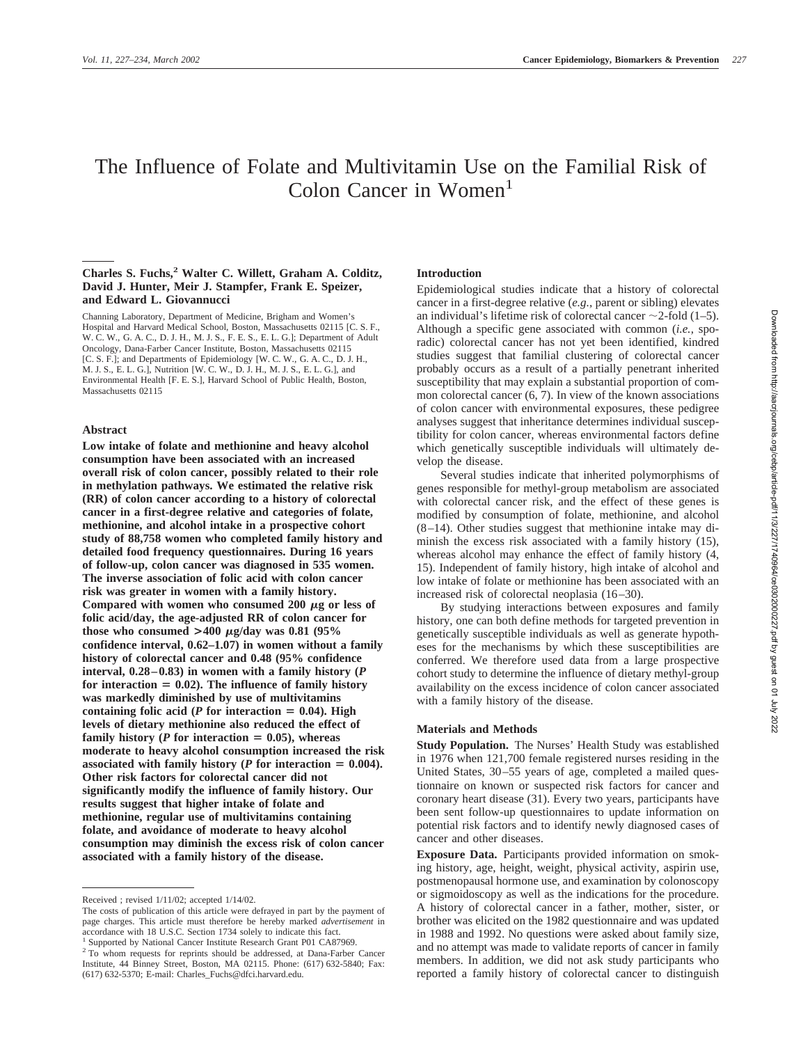# The Influence of Folate and Multivitamin Use on the Familial Risk of Colon Cancer in Women<sup>1</sup>

# **Charles S. Fuchs,2 Walter C. Willett, Graham A. Colditz, David J. Hunter, Meir J. Stampfer, Frank E. Speizer, and Edward L. Giovannucci**

Channing Laboratory, Department of Medicine, Brigham and Women's Hospital and Harvard Medical School, Boston, Massachusetts 02115 [C. S. F., W. C. W., G. A. C., D. J. H., M. J. S., F. E. S., E. L. G.]; Department of Adult Oncology, Dana-Farber Cancer Institute, Boston, Massachusetts 02115 [C. S. F.]; and Departments of Epidemiology [W. C. W., G. A. C., D. J. H., M. J. S., E. L. G.], Nutrition [W. C. W., D. J. H., M. J. S., E. L. G.], and Environmental Health [F. E. S.], Harvard School of Public Health, Boston, Massachusetts 02115

### **Abstract**

**Low intake of folate and methionine and heavy alcohol consumption have been associated with an increased overall risk of colon cancer, possibly related to their role in methylation pathways. We estimated the relative risk (RR) of colon cancer according to a history of colorectal cancer in a first-degree relative and categories of folate, methionine, and alcohol intake in a prospective cohort study of 88,758 women who completed family history and detailed food frequency questionnaires. During 16 years of follow-up, colon cancer was diagnosed in 535 women. The inverse association of folic acid with colon cancer risk was greater in women with a family history.** Compared with women who consumed  $200 \mu$ g or less of **folic acid/day, the age-adjusted RR of colon cancer for** those who consumed  $>400 \mu g/day$  was 0.81 (95%) **confidence interval, 0.62–1.07) in women without a family history of colorectal cancer and 0.48 (95% confidence interval, 0.28–0.83) in women with a family history (***P* for interaction = 0.02). The influence of family history **was markedly diminished by use of multivitamins** containing folic acid ( $P$  for interaction = 0.04). High **levels of dietary methionine also reduced the effect of** family history ( $P$  for interaction  $= 0.05$ ), whereas **moderate to heavy alcohol consumption increased the risk** associated with family history ( $P$  for interaction  $= 0.004$ ). **Other risk factors for colorectal cancer did not significantly modify the influence of family history. Our results suggest that higher intake of folate and methionine, regular use of multivitamins containing folate, and avoidance of moderate to heavy alcohol consumption may diminish the excess risk of colon cancer associated with a family history of the disease.**

#### **Introduction**

Epidemiological studies indicate that a history of colorectal cancer in a first-degree relative (*e.g.,* parent or sibling) elevates an individual's lifetime risk of colorectal cancer  $\sim$  2-fold (1–5). Although a specific gene associated with common (*i.e.,* sporadic) colorectal cancer has not yet been identified, kindred studies suggest that familial clustering of colorectal cancer probably occurs as a result of a partially penetrant inherited susceptibility that may explain a substantial proportion of common colorectal cancer (6, 7). In view of the known associations of colon cancer with environmental exposures, these pedigree analyses suggest that inheritance determines individual susceptibility for colon cancer, whereas environmental factors define which genetically susceptible individuals will ultimately develop the disease.

Several studies indicate that inherited polymorphisms of genes responsible for methyl-group metabolism are associated with colorectal cancer risk, and the effect of these genes is modified by consumption of folate, methionine, and alcohol (8–14). Other studies suggest that methionine intake may diminish the excess risk associated with a family history (15), whereas alcohol may enhance the effect of family history (4, 15). Independent of family history, high intake of alcohol and low intake of folate or methionine has been associated with an increased risk of colorectal neoplasia (16–30).

By studying interactions between exposures and family history, one can both define methods for targeted prevention in genetically susceptible individuals as well as generate hypotheses for the mechanisms by which these susceptibilities are conferred. We therefore used data from a large prospective cohort study to determine the influence of dietary methyl-group availability on the excess incidence of colon cancer associated with a family history of the disease.

## **Materials and Methods**

**Study Population.** The Nurses' Health Study was established in 1976 when 121,700 female registered nurses residing in the United States, 30–55 years of age, completed a mailed questionnaire on known or suspected risk factors for cancer and coronary heart disease (31). Every two years, participants have been sent follow-up questionnaires to update information on potential risk factors and to identify newly diagnosed cases of cancer and other diseases.

**Exposure Data.** Participants provided information on smoking history, age, height, weight, physical activity, aspirin use, postmenopausal hormone use, and examination by colonoscopy or sigmoidoscopy as well as the indications for the procedure. A history of colorectal cancer in a father, mother, sister, or brother was elicited on the 1982 questionnaire and was updated in 1988 and 1992. No questions were asked about family size, and no attempt was made to validate reports of cancer in family members. In addition, we did not ask study participants who reported a family history of colorectal cancer to distinguish

Received ; revised 1/11/02; accepted 1/14/02.

The costs of publication of this article were defrayed in part by the payment of page charges. This article must therefore be hereby marked *advertisement* in accordance with 18 U.S.C. Section 1734 solely to indicate this fact.

<sup>&</sup>lt;sup>1</sup> Supported by National Cancer Institute Research Grant P01 CA87969

<sup>&</sup>lt;sup>2</sup> To whom requests for reprints should be addressed, at Dana-Farber Cancer Institute, 44 Binney Street, Boston, MA 02115. Phone: (617) 632-5840; Fax: (617) 632-5370; E-mail: Charles\_Fuchs@dfci.harvard.edu.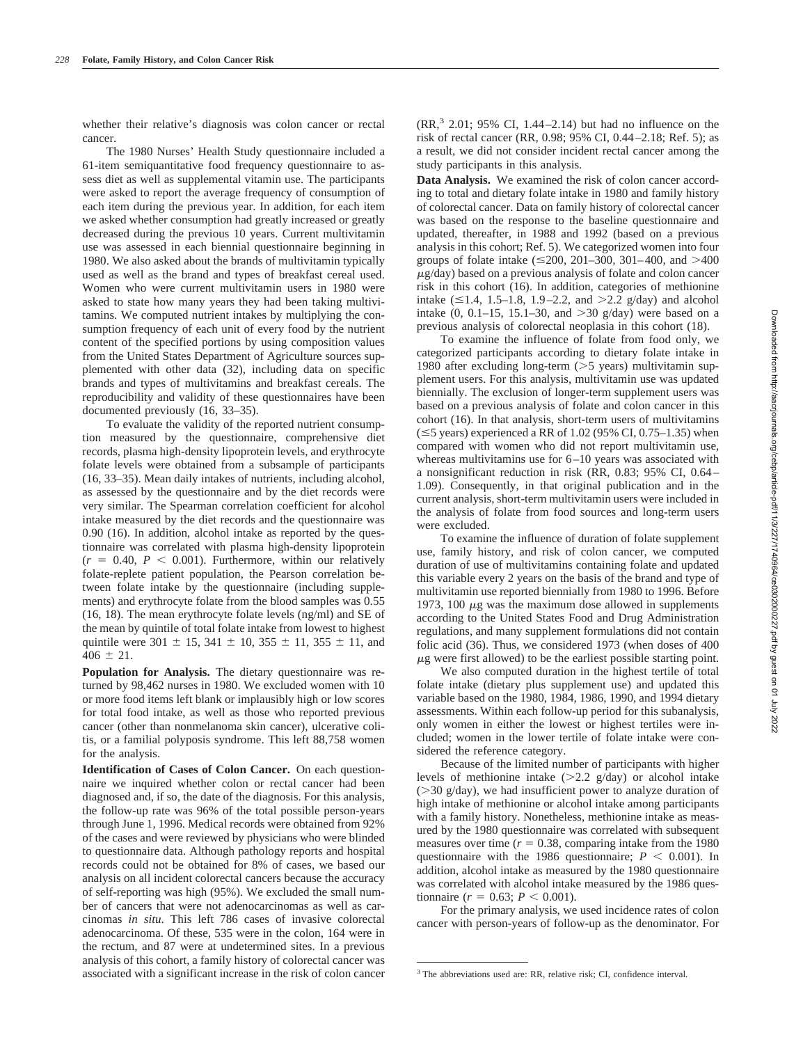whether their relative's diagnosis was colon cancer or rectal cancer.

The 1980 Nurses' Health Study questionnaire included a 61-item semiquantitative food frequency questionnaire to assess diet as well as supplemental vitamin use. The participants were asked to report the average frequency of consumption of each item during the previous year. In addition, for each item we asked whether consumption had greatly increased or greatly decreased during the previous 10 years. Current multivitamin use was assessed in each biennial questionnaire beginning in 1980. We also asked about the brands of multivitamin typically used as well as the brand and types of breakfast cereal used. Women who were current multivitamin users in 1980 were asked to state how many years they had been taking multivitamins. We computed nutrient intakes by multiplying the consumption frequency of each unit of every food by the nutrient content of the specified portions by using composition values from the United States Department of Agriculture sources supplemented with other data (32), including data on specific brands and types of multivitamins and breakfast cereals. The reproducibility and validity of these questionnaires have been documented previously (16, 33–35).

To evaluate the validity of the reported nutrient consumption measured by the questionnaire, comprehensive diet records, plasma high-density lipoprotein levels, and erythrocyte folate levels were obtained from a subsample of participants (16, 33–35). Mean daily intakes of nutrients, including alcohol, as assessed by the questionnaire and by the diet records were very similar. The Spearman correlation coefficient for alcohol intake measured by the diet records and the questionnaire was 0.90 (16). In addition, alcohol intake as reported by the questionnaire was correlated with plasma high-density lipoprotein  $(r = 0.40, P < 0.001)$ . Furthermore, within our relatively folate-replete patient population, the Pearson correlation between folate intake by the questionnaire (including supplements) and erythrocyte folate from the blood samples was 0.55 (16, 18). The mean erythrocyte folate levels (ng/ml) and SE of the mean by quintile of total folate intake from lowest to highest quintile were 301  $\pm$  15, 341  $\pm$  10, 355  $\pm$  11, 355  $\pm$  11, and  $406 \pm 21$ .

**Population for Analysis.** The dietary questionnaire was returned by 98,462 nurses in 1980. We excluded women with 10 or more food items left blank or implausibly high or low scores for total food intake, as well as those who reported previous cancer (other than nonmelanoma skin cancer), ulcerative colitis, or a familial polyposis syndrome. This left 88,758 women for the analysis.

**Identification of Cases of Colon Cancer.** On each questionnaire we inquired whether colon or rectal cancer had been diagnosed and, if so, the date of the diagnosis. For this analysis, the follow-up rate was 96% of the total possible person-years through June 1, 1996. Medical records were obtained from 92% of the cases and were reviewed by physicians who were blinded to questionnaire data. Although pathology reports and hospital records could not be obtained for 8% of cases, we based our analysis on all incident colorectal cancers because the accuracy of self-reporting was high (95%). We excluded the small number of cancers that were not adenocarcinomas as well as carcinomas *in situ*. This left 786 cases of invasive colorectal adenocarcinoma. Of these, 535 were in the colon, 164 were in the rectum, and 87 were at undetermined sites. In a previous analysis of this cohort, a family history of colorectal cancer was associated with a significant increase in the risk of colon cancer

 $(RR, 3, 2.01; 95\% \text{ CI}, 1.44-2.14)$  but had no influence on the risk of rectal cancer (RR, 0.98; 95% CI, 0.44–2.18; Ref. 5); as a result, we did not consider incident rectal cancer among the study participants in this analysis.

Data Analysis. We examined the risk of colon cancer according to total and dietary folate intake in 1980 and family history of colorectal cancer. Data on family history of colorectal cancer was based on the response to the baseline questionnaire and updated, thereafter, in 1988 and 1992 (based on a previous analysis in this cohort; Ref. 5). We categorized women into four groups of folate intake  $(\leq 200, 201-300, 301-400,$  and  $> 400$ -g/day) based on a previous analysis of folate and colon cancer risk in this cohort (16). In addition, categories of methionine intake  $(\leq 1.4, 1.5-1.8, 1.9-2.2,$  and  $>2.2$  g/day) and alcohol intake  $(0, 0.1-15, 15.1-30,$  and  $>30$  g/day) were based on a previous analysis of colorectal neoplasia in this cohort (18).

To examine the influence of folate from food only, we categorized participants according to dietary folate intake in 1980 after excluding long-term  $(>5$  years) multivitamin supplement users. For this analysis, multivitamin use was updated biennially. The exclusion of longer-term supplement users was based on a previous analysis of folate and colon cancer in this cohort (16). In that analysis, short-term users of multivitamins  $(\leq 5$  years) experienced a RR of 1.02 (95% CI, 0.75–1.35) when compared with women who did not report multivitamin use, whereas multivitamins use for 6–10 years was associated with a nonsignificant reduction in risk (RR, 0.83; 95% CI, 0.64– 1.09). Consequently, in that original publication and in the current analysis, short-term multivitamin users were included in the analysis of folate from food sources and long-term users were excluded.

To examine the influence of duration of folate supplement use, family history, and risk of colon cancer, we computed duration of use of multivitamins containing folate and updated this variable every 2 years on the basis of the brand and type of multivitamin use reported biennially from 1980 to 1996. Before 1973, 100  $\mu$ g was the maximum dose allowed in supplements according to the United States Food and Drug Administration regulations, and many supplement formulations did not contain folic acid (36). Thus, we considered 1973 (when doses of 400  $\mu$ g were first allowed) to be the earliest possible starting point.

We also computed duration in the highest tertile of total folate intake (dietary plus supplement use) and updated this variable based on the 1980, 1984, 1986, 1990, and 1994 dietary assessments. Within each follow-up period for this subanalysis, only women in either the lowest or highest tertiles were included; women in the lower tertile of folate intake were considered the reference category.

Because of the limited number of participants with higher levels of methionine intake  $(>2.2 \text{ g/day})$  or alcohol intake  $(>30 \text{ g/day})$ , we had insufficient power to analyze duration of high intake of methionine or alcohol intake among participants with a family history. Nonetheless, methionine intake as measured by the 1980 questionnaire was correlated with subsequent measures over time  $(r = 0.38$ , comparing intake from the 1980 questionnaire with the 1986 questionnaire;  $P < 0.001$ ). In addition, alcohol intake as measured by the 1980 questionnaire was correlated with alcohol intake measured by the 1986 questionnaire ( $r = 0.63$ ;  $P < 0.001$ ).

For the primary analysis, we used incidence rates of colon cancer with person-years of follow-up as the denominator. For

<sup>&</sup>lt;sup>3</sup> The abbreviations used are: RR, relative risk; CI, confidence interval.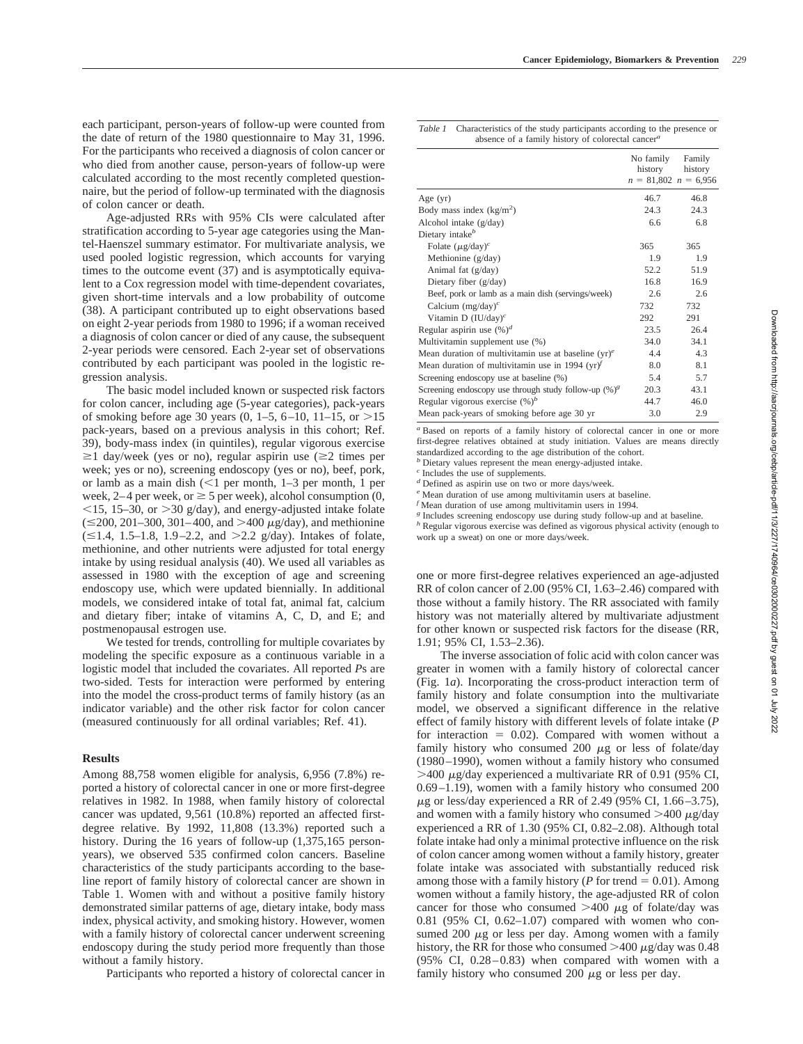each participant, person-years of follow-up were counted from the date of return of the 1980 questionnaire to May 31, 1996. For the participants who received a diagnosis of colon cancer or who died from another cause, person-years of follow-up were calculated according to the most recently completed questionnaire, but the period of follow-up terminated with the diagnosis of colon cancer or death.

Age-adjusted RRs with 95% CIs were calculated after stratification according to 5-year age categories using the Mantel-Haenszel summary estimator. For multivariate analysis, we used pooled logistic regression, which accounts for varying times to the outcome event (37) and is asymptotically equivalent to a Cox regression model with time-dependent covariates, given short-time intervals and a low probability of outcome (38). A participant contributed up to eight observations based on eight 2-year periods from 1980 to 1996; if a woman received a diagnosis of colon cancer or died of any cause, the subsequent 2-year periods were censored. Each 2-year set of observations contributed by each participant was pooled in the logistic regression analysis.

The basic model included known or suspected risk factors for colon cancer, including age (5-year categories), pack-years of smoking before age 30 years  $(0, 1-5, 6-10, 11-15, 0r > 15$ pack-years, based on a previous analysis in this cohort; Ref. 39), body-mass index (in quintiles), regular vigorous exercise  $\geq$ 1 day/week (yes or no), regular aspirin use ( $\geq$ 2 times per week; yes or no), screening endoscopy (yes or no), beef, pork, or lamb as a main dish  $\ll 1$  per month, 1–3 per month, 1 per week, 2–4 per week, or  $\geq$  5 per week), alcohol consumption (0,  $\le$ 15, 15–30, or  $>$ 30 g/day), and energy-adjusted intake folate  $(\leq 200, 201-300, 301-400, \text{ and } > 400 \mu\text{g/day})$ , and methionine  $(\leq 1.4, 1.5-1.8, 1.9-2.2,$  and  $> 2.2$  g/day). Intakes of folate, methionine, and other nutrients were adjusted for total energy intake by using residual analysis (40). We used all variables as assessed in 1980 with the exception of age and screening endoscopy use, which were updated biennially. In additional models, we considered intake of total fat, animal fat, calcium and dietary fiber; intake of vitamins A, C, D, and E; and postmenopausal estrogen use.

We tested for trends, controlling for multiple covariates by modeling the specific exposure as a continuous variable in a logistic model that included the covariates. All reported *P*s are two-sided. Tests for interaction were performed by entering into the model the cross-product terms of family history (as an indicator variable) and the other risk factor for colon cancer (measured continuously for all ordinal variables; Ref. 41).

### **Results**

Among 88,758 women eligible for analysis, 6,956 (7.8%) reported a history of colorectal cancer in one or more first-degree relatives in 1982. In 1988, when family history of colorectal cancer was updated, 9,561 (10.8%) reported an affected firstdegree relative. By 1992, 11,808 (13.3%) reported such a history. During the 16 years of follow-up  $(1,375,165)$  personyears), we observed 535 confirmed colon cancers. Baseline characteristics of the study participants according to the baseline report of family history of colorectal cancer are shown in Table 1. Women with and without a positive family history demonstrated similar patterns of age, dietary intake, body mass index, physical activity, and smoking history. However, women with a family history of colorectal cancer underwent screening endoscopy during the study period more frequently than those without a family history.

Participants who reported a history of colorectal cancer in

| Table 1 | Characteristics of the study participants according to the presence or |
|---------|------------------------------------------------------------------------|
|         | absence of a family history of colorectal cancer $a$                   |

|                                                                          | No family<br>history<br>$n = 81,802$ $n = 6,956$ | Family<br>history |
|--------------------------------------------------------------------------|--------------------------------------------------|-------------------|
| Age $(yr)$                                                               | 46.7                                             | 46.8              |
| Body mass index $(kg/m2)$                                                | 24.3                                             | 24.3              |
| Alcohol intake (g/day)                                                   | 6.6                                              | 6.8               |
| Dietary intake <sup>b</sup>                                              |                                                  |                   |
| Folate $(\mu$ g/day) <sup>c</sup>                                        | 365                                              | 365               |
| Methionine (g/day)                                                       | 1.9                                              | 1.9               |
| Animal fat (g/day)                                                       | 52.2                                             | 51.9              |
| Dietary fiber (g/day)                                                    | 16.8                                             | 16.9              |
| Beef, pork or lamb as a main dish (servings/week)                        | 2.6                                              | 2.6               |
| Calcium $(mg/day)^c$                                                     | 732                                              | 732               |
| Vitamin D $(IU/day)^c$                                                   | 292                                              | 291               |
| Regular aspirin use $(\%)^d$                                             | 23.5                                             | 26.4              |
| Multivitamin supplement use (%)                                          | 34.0                                             | 34.1              |
| Mean duration of multivitamin use at baseline $(yr)^e$                   | 4.4                                              | 4.3               |
| Mean duration of multivitamin use in 1994 (yr) <sup><math>f</math></sup> | 8.0                                              | 8.1               |
| Screening endoscopy use at baseline (%)                                  | 5.4                                              | 5.7               |
| Screening endoscopy use through study follow-up $(\%)^g$                 | 20.3                                             | 43.1              |
| Regular vigorous exercise $(\%)^b$                                       | 44.7                                             | 46.0              |
| Mean pack-years of smoking before age 30 yr                              | 3.0                                              | 2.9               |

*<sup>a</sup>* Based on reports of a family history of colorectal cancer in one or more first-degree relatives obtained at study initiation. Values are means directly standardized according to the age distribution of the cohort.

*<sup>b</sup>* Dietary values represent the mean energy-adjusted intake.

*<sup>c</sup>* Includes the use of supplements.

*<sup>d</sup>* Defined as aspirin use on two or more days/week.

*<sup>e</sup>* Mean duration of use among multivitamin users at baseline.

*f* Mean duration of use among multivitamin users in 1994.

<sup>g</sup> Includes screening endoscopy use during study follow-up and at baseline.

*<sup>h</sup>* Regular vigorous exercise was defined as vigorous physical activity (enough to work up a sweat) on one or more days/week.

one or more first-degree relatives experienced an age-adjusted RR of colon cancer of 2.00 (95% CI, 1.63–2.46) compared with those without a family history. The RR associated with family history was not materially altered by multivariate adjustment for other known or suspected risk factors for the disease (RR, 1.91; 95% CI, 1.53–2.36).

The inverse association of folic acid with colon cancer was greater in women with a family history of colorectal cancer (Fig. 1*a*). Incorporating the cross-product interaction term of family history and folate consumption into the multivariate model, we observed a significant difference in the relative effect of family history with different levels of folate intake (*P* for interaction  $= 0.02$ ). Compared with women without a family history who consumed 200  $\mu$ g or less of folate/day (1980–1990), women without a family history who consumed  $>$ 400  $\mu$ g/day experienced a multivariate RR of 0.91 (95% CI, 0.69–1.19), women with a family history who consumed 200  $\mu$ g or less/day experienced a RR of 2.49 (95% CI, 1.66–3.75), and women with a family history who consumed  $>400 \mu g/day$ experienced a RR of 1.30 (95% CI, 0.82–2.08). Although total folate intake had only a minimal protective influence on the risk of colon cancer among women without a family history, greater folate intake was associated with substantially reduced risk among those with a family history ( $P$  for trend  $= 0.01$ ). Among women without a family history, the age-adjusted RR of colon cancer for those who consumed  $>400 \mu$ g of folate/day was 0.81 (95% CI, 0.62–1.07) compared with women who consumed 200  $\mu$ g or less per day. Among women with a family history, the RR for those who consumed  $>$ 400  $\mu$ g/day was 0.48 (95% CI, 0.28–0.83) when compared with women with a family history who consumed  $200 \mu g$  or less per day.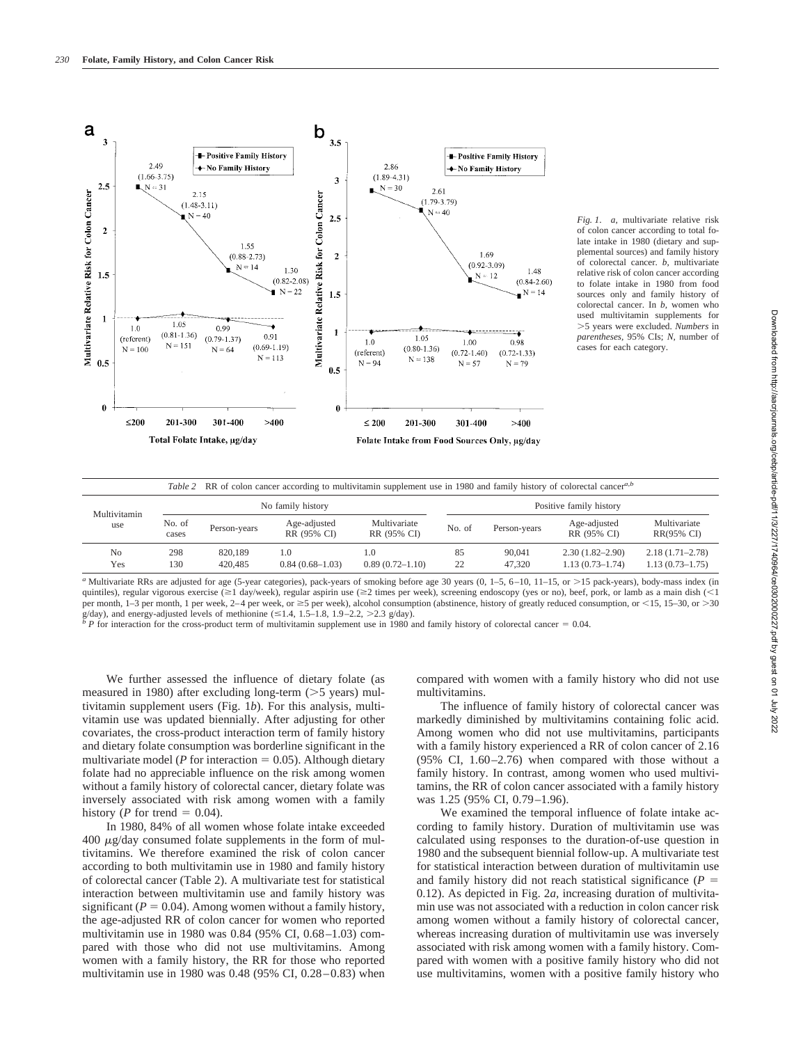

*Fig. 1*. *a,* multivariate relative risk of colon cancer according to total folate intake in 1980 (dietary and supplemental sources) and family history of colorectal cancer. *b,* multivariate relative risk of colon cancer according to folate intake in 1980 from food sources only and family history of colorectal cancer. In *b,* women who used multivitamin supplements for 5 years were excluded. *Numbers* in *parentheses,* 95% CIs; *N,* number of cases for each category.

| Table 2 RR of colon cancer according to multivitamin supplement use in 1980 and family history of colorectal cancer <sup>a,b</sup> |                   |                    |                             |                             |                         |                  |                                            |                                            |  |
|------------------------------------------------------------------------------------------------------------------------------------|-------------------|--------------------|-----------------------------|-----------------------------|-------------------------|------------------|--------------------------------------------|--------------------------------------------|--|
| Multivitamin<br>use                                                                                                                | No family history |                    |                             |                             | Positive family history |                  |                                            |                                            |  |
|                                                                                                                                    | No. of<br>cases   | Person-years       | Age-adjusted<br>RR (95% CI) | Multivariate<br>RR (95% CI) | No. of                  | Person-years     | Age-adjusted<br>RR (95% CI)                | Multivariate<br>RR(95% CI)                 |  |
| No<br>Yes                                                                                                                          | 298<br>130        | 820.189<br>420,485 | 1.0<br>$0.84(0.68-1.03)$    | 1.0<br>$0.89(0.72 - 1.10)$  | 85<br>22                | 90,041<br>47.320 | $2.30(1.82 - 2.90)$<br>$1.13(0.73 - 1.74)$ | $2.18(1.71 - 2.78)$<br>$1.13(0.73 - 1.75)$ |  |

*a* Multivariate RRs are adjusted for age (5-year categories), pack-years of smoking before age 30 years  $(0, 1-5, 6-10, 11-15, 0r > 15$  pack-years), body-mass index (in quintiles), regular vigorous exercise ( $\geq$ 1 day/week), regular aspirin use ( $\geq$ 2 times per week), screening endoscopy (yes or no), beef, pork, or lamb as a main dish (<1 per month, 1–3 per month, 1 per week, 2–4 per week, or  $\geq$ 5 per week), alcohol consumption (abstinence, history of greatly reduced consumption, or <15, 15–30, or >30 g/day), and energy-adjusted levels of methionine ( $\leq 1.4$ , 1.5–1.8, 1.9–2.2, >2.3 g/day).<br><sup>*b*</sup> P for interaction for the cross-product term of multivitamin supplement use in 1980 and family history of colorectal cancer

We further assessed the influence of dietary folate (as measured in 1980) after excluding long-term  $($ >5 years) multivitamin supplement users (Fig. 1*b*). For this analysis, multivitamin use was updated biennially. After adjusting for other covariates, the cross-product interaction term of family history and dietary folate consumption was borderline significant in the multivariate model ( $P$  for interaction  $= 0.05$ ). Although dietary folate had no appreciable influence on the risk among women without a family history of colorectal cancer, dietary folate was inversely associated with risk among women with a family history (*P* for trend = 0.04).

In 1980, 84% of all women whose folate intake exceeded  $400 \mu g/day$  consumed folate supplements in the form of multivitamins. We therefore examined the risk of colon cancer according to both multivitamin use in 1980 and family history of colorectal cancer (Table 2). A multivariate test for statistical interaction between multivitamin use and family history was significant ( $P = 0.04$ ). Among women without a family history, the age-adjusted RR of colon cancer for women who reported multivitamin use in 1980 was 0.84 (95% CI, 0.68–1.03) compared with those who did not use multivitamins. Among women with a family history, the RR for those who reported multivitamin use in 1980 was 0.48 (95% CI, 0.28–0.83) when compared with women with a family history who did not use multivitamins.

The influence of family history of colorectal cancer was markedly diminished by multivitamins containing folic acid. Among women who did not use multivitamins, participants with a family history experienced a RR of colon cancer of 2.16 (95% CI, 1.60–2.76) when compared with those without a family history. In contrast, among women who used multivitamins, the RR of colon cancer associated with a family history was 1.25 (95% CI, 0.79–1.96).

We examined the temporal influence of folate intake according to family history. Duration of multivitamin use was calculated using responses to the duration-of-use question in 1980 and the subsequent biennial follow-up. A multivariate test for statistical interaction between duration of multivitamin use and family history did not reach statistical significance  $(P =$ 0.12). As depicted in Fig. 2*a,* increasing duration of multivitamin use was not associated with a reduction in colon cancer risk among women without a family history of colorectal cancer, whereas increasing duration of multivitamin use was inversely associated with risk among women with a family history. Compared with women with a positive family history who did not use multivitamins, women with a positive family history who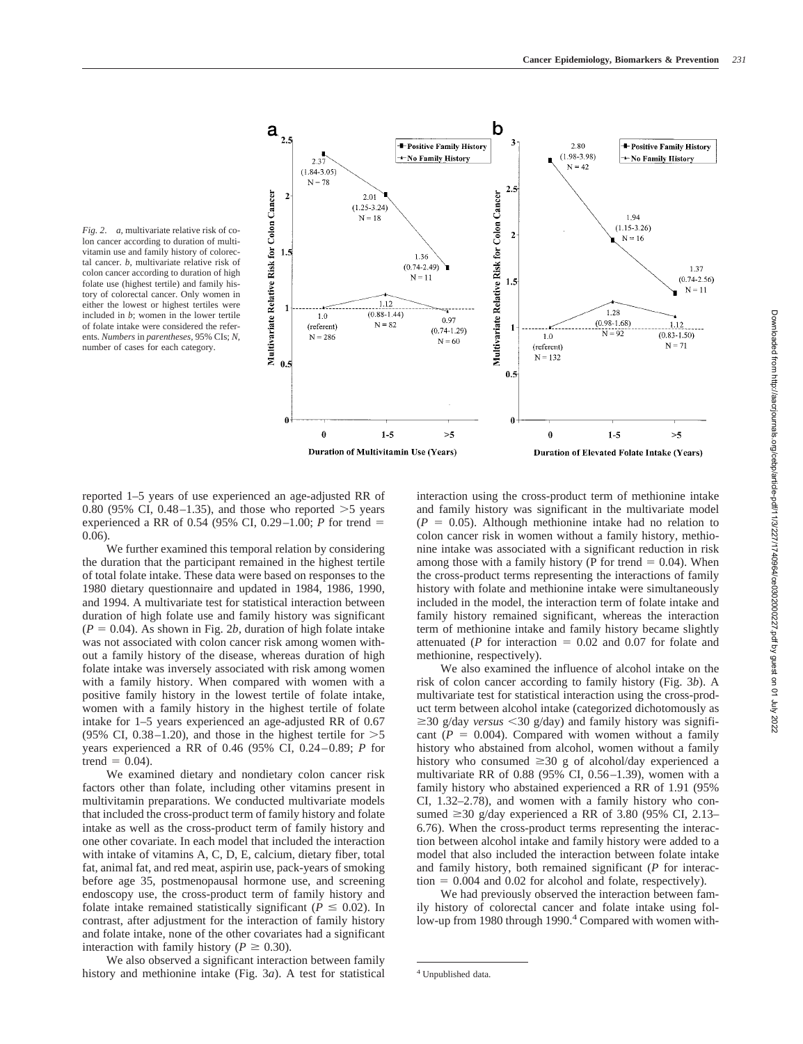

*Fig. 2*. *a,* multivariate relative risk of colon cancer according to duration of multivitamin use and family history of colorectal cancer. *b,* multivariate relative risk of colon cancer according to duration of high folate use (highest tertile) and family history of colorectal cancer. Only women in either the lowest or highest tertiles were included in *b*; women in the lower tertile of folate intake were considered the referents. *Numbers* in *parentheses,* 95% CIs; *N,* number of cases for each category.

reported 1–5 years of use experienced an age-adjusted RR of 0.80 (95% CI, 0.48–1.35), and those who reported  $>5$  years experienced a RR of 0.54 (95% CI, 0.29–1.00; *P* for trend  $=$ 0.06).

We further examined this temporal relation by considering the duration that the participant remained in the highest tertile of total folate intake. These data were based on responses to the 1980 dietary questionnaire and updated in 1984, 1986, 1990, and 1994. A multivariate test for statistical interaction between duration of high folate use and family history was significant  $(P = 0.04)$ . As shown in Fig. 2*b*, duration of high folate intake was not associated with colon cancer risk among women without a family history of the disease, whereas duration of high folate intake was inversely associated with risk among women with a family history. When compared with women with a positive family history in the lowest tertile of folate intake, women with a family history in the highest tertile of folate intake for 1–5 years experienced an age-adjusted RR of 0.67 (95% CI, 0.38–1.20), and those in the highest tertile for  $>5$ years experienced a RR of 0.46 (95% CI, 0.24–0.89; *P* for trend  $= 0.04$ ).

We examined dietary and nondietary colon cancer risk factors other than folate, including other vitamins present in multivitamin preparations. We conducted multivariate models that included the cross-product term of family history and folate intake as well as the cross-product term of family history and one other covariate. In each model that included the interaction with intake of vitamins A, C, D, E, calcium, dietary fiber, total fat, animal fat, and red meat, aspirin use, pack-years of smoking before age 35, postmenopausal hormone use, and screening endoscopy use, the cross-product term of family history and folate intake remained statistically significant ( $P \leq 0.02$ ). In contrast, after adjustment for the interaction of family history and folate intake, none of the other covariates had a significant interaction with family history ( $P \ge 0.30$ ).

We also observed a significant interaction between family history and methionine intake (Fig. 3*a*). A test for statistical interaction using the cross-product term of methionine intake and family history was significant in the multivariate model  $(P = 0.05)$ . Although methionine intake had no relation to colon cancer risk in women without a family history, methionine intake was associated with a significant reduction in risk among those with a family history (P for trend  $= 0.04$ ). When the cross-product terms representing the interactions of family history with folate and methionine intake were simultaneously included in the model, the interaction term of folate intake and family history remained significant, whereas the interaction term of methionine intake and family history became slightly attenuated ( $P$  for interaction  $= 0.02$  and 0.07 for folate and methionine, respectively).

We also examined the influence of alcohol intake on the risk of colon cancer according to family history (Fig. 3*b*). A multivariate test for statistical interaction using the cross-product term between alcohol intake (categorized dichotomously as  $\geq$ 30 g/day *versus* < 30 g/day) and family history was significant  $(P = 0.004)$ . Compared with women without a family history who abstained from alcohol, women without a family history who consumed  $\geq 30$  g of alcohol/day experienced a multivariate RR of 0.88 (95% CI, 0.56–1.39), women with a family history who abstained experienced a RR of 1.91 (95% CI, 1.32–2.78), and women with a family history who consumed  $\geq$ 30 g/day experienced a RR of 3.80 (95% CI, 2.13– 6.76). When the cross-product terms representing the interaction between alcohol intake and family history were added to a model that also included the interaction between folate intake and family history, both remained significant (*P* for interac $t$ tion = 0.004 and 0.02 for alcohol and folate, respectively).

We had previously observed the interaction between family history of colorectal cancer and folate intake using follow-up from 1980 through 1990.<sup>4</sup> Compared with women with-

<sup>4</sup> Unpublished data.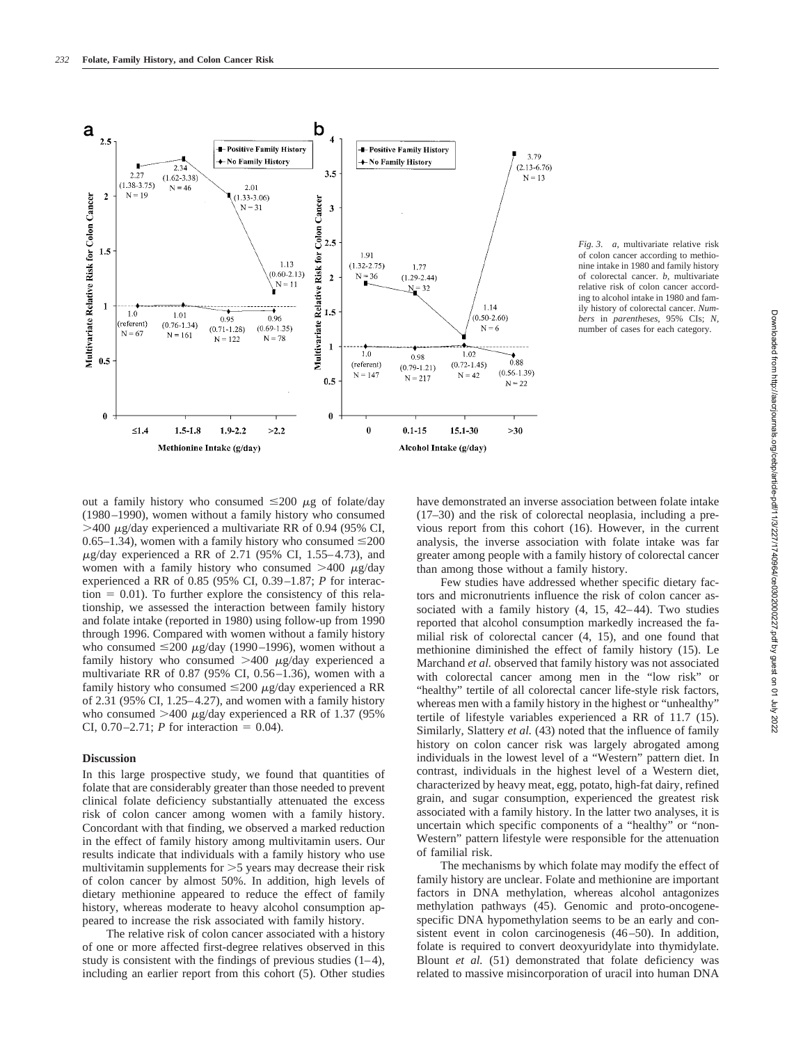

*Fig. 3*. *a,* multivariate relative risk of colon cancer according to methionine intake in 1980 and family history of colorectal cancer. *b,* multivariate relative risk of colon cancer according to alcohol intake in 1980 and family history of colorectal cancer. *Numbers* in *parentheses,* 95% CIs; *N,* number of cases for each category.

out a family history who consumed  $\leq 200 \mu g$  of folate/day (1980–1990), women without a family history who consumed  $>$ 400  $\mu$ g/day experienced a multivariate RR of 0.94 (95% CI, 0.65–1.34), women with a family history who consumed  $\leq$ 200  $\mu$ g/day experienced a RR of 2.71 (95% CI, 1.55–4.73), and women with a family history who consumed  $>400 \mu g/day$ experienced a RR of 0.85 (95% CI, 0.39–1.87; *P* for interac- $\tau$  tion = 0.01). To further explore the consistency of this relationship, we assessed the interaction between family history and folate intake (reported in 1980) using follow-up from 1990 through 1996. Compared with women without a family history who consumed  $\leq 200 \mu g/day$  (1990–1996), women without a family history who consumed  $>400 \mu g/day$  experienced a multivariate RR of 0.87 (95% CI, 0.56–1.36), women with a family history who consumed  $\leq$ 200  $\mu$ g/day experienced a RR of 2.31 (95% CI, 1.25–4.27), and women with a family history who consumed  $>400 \mu g/day$  experienced a RR of 1.37 (95%) CI,  $0.70 - 2.71$ ; *P* for interaction = 0.04).

## **Discussion**

In this large prospective study, we found that quantities of folate that are considerably greater than those needed to prevent clinical folate deficiency substantially attenuated the excess risk of colon cancer among women with a family history. Concordant with that finding, we observed a marked reduction in the effect of family history among multivitamin users. Our results indicate that individuals with a family history who use multivitamin supplements for  $>5$  years may decrease their risk of colon cancer by almost 50%. In addition, high levels of dietary methionine appeared to reduce the effect of family history, whereas moderate to heavy alcohol consumption appeared to increase the risk associated with family history.

The relative risk of colon cancer associated with a history of one or more affected first-degree relatives observed in this study is consistent with the findings of previous studies  $(1-4)$ , including an earlier report from this cohort (5). Other studies have demonstrated an inverse association between folate intake (17–30) and the risk of colorectal neoplasia, including a previous report from this cohort (16). However, in the current analysis, the inverse association with folate intake was far greater among people with a family history of colorectal cancer than among those without a family history.

Few studies have addressed whether specific dietary factors and micronutrients influence the risk of colon cancer associated with a family history (4, 15, 42–44). Two studies reported that alcohol consumption markedly increased the familial risk of colorectal cancer (4, 15), and one found that methionine diminished the effect of family history (15). Le Marchand *et al.* observed that family history was not associated with colorectal cancer among men in the "low risk" or "healthy" tertile of all colorectal cancer life-style risk factors, whereas men with a family history in the highest or "unhealthy" tertile of lifestyle variables experienced a RR of 11.7 (15). Similarly, Slattery *et al.* (43) noted that the influence of family history on colon cancer risk was largely abrogated among individuals in the lowest level of a "Western" pattern diet. In contrast, individuals in the highest level of a Western diet, characterized by heavy meat, egg, potato, high-fat dairy, refined grain, and sugar consumption, experienced the greatest risk associated with a family history. In the latter two analyses, it is uncertain which specific components of a "healthy" or "non-Western" pattern lifestyle were responsible for the attenuation of familial risk.

The mechanisms by which folate may modify the effect of family history are unclear. Folate and methionine are important factors in DNA methylation, whereas alcohol antagonizes methylation pathways (45). Genomic and proto-oncogenespecific DNA hypomethylation seems to be an early and consistent event in colon carcinogenesis (46–50). In addition, folate is required to convert deoxyuridylate into thymidylate. Blount *et al.* (51) demonstrated that folate deficiency was related to massive misincorporation of uracil into human DNA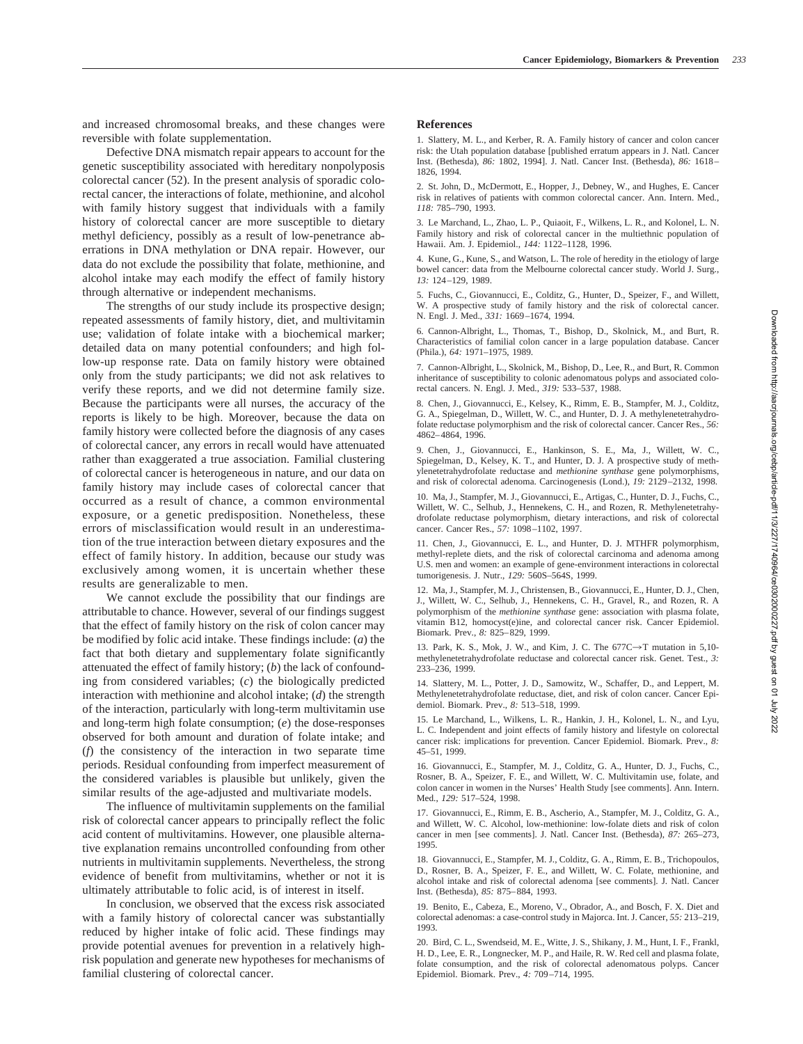and increased chromosomal breaks, and these changes were reversible with folate supplementation.

Defective DNA mismatch repair appears to account for the genetic susceptibility associated with hereditary nonpolyposis colorectal cancer (52). In the present analysis of sporadic colorectal cancer, the interactions of folate, methionine, and alcohol with family history suggest that individuals with a family history of colorectal cancer are more susceptible to dietary methyl deficiency, possibly as a result of low-penetrance aberrations in DNA methylation or DNA repair. However, our data do not exclude the possibility that folate, methionine, and alcohol intake may each modify the effect of family history through alternative or independent mechanisms.

The strengths of our study include its prospective design; repeated assessments of family history, diet, and multivitamin use; validation of folate intake with a biochemical marker; detailed data on many potential confounders; and high follow-up response rate. Data on family history were obtained only from the study participants; we did not ask relatives to verify these reports, and we did not determine family size. Because the participants were all nurses, the accuracy of the reports is likely to be high. Moreover, because the data on family history were collected before the diagnosis of any cases of colorectal cancer, any errors in recall would have attenuated rather than exaggerated a true association. Familial clustering of colorectal cancer is heterogeneous in nature, and our data on family history may include cases of colorectal cancer that occurred as a result of chance, a common environmental exposure, or a genetic predisposition. Nonetheless, these errors of misclassification would result in an underestimation of the true interaction between dietary exposures and the effect of family history. In addition, because our study was exclusively among women, it is uncertain whether these results are generalizable to men.

We cannot exclude the possibility that our findings are attributable to chance. However, several of our findings suggest that the effect of family history on the risk of colon cancer may be modified by folic acid intake. These findings include: (*a*) the fact that both dietary and supplementary folate significantly attenuated the effect of family history; (*b*) the lack of confounding from considered variables; (*c*) the biologically predicted interaction with methionine and alcohol intake; (*d*) the strength of the interaction, particularly with long-term multivitamin use and long-term high folate consumption; (*e*) the dose-responses observed for both amount and duration of folate intake; and (*f*) the consistency of the interaction in two separate time periods. Residual confounding from imperfect measurement of the considered variables is plausible but unlikely, given the similar results of the age-adjusted and multivariate models.

The influence of multivitamin supplements on the familial risk of colorectal cancer appears to principally reflect the folic acid content of multivitamins. However, one plausible alternative explanation remains uncontrolled confounding from other nutrients in multivitamin supplements. Nevertheless, the strong evidence of benefit from multivitamins, whether or not it is ultimately attributable to folic acid, is of interest in itself.

In conclusion, we observed that the excess risk associated with a family history of colorectal cancer was substantially reduced by higher intake of folic acid. These findings may provide potential avenues for prevention in a relatively highrisk population and generate new hypotheses for mechanisms of familial clustering of colorectal cancer.

### **References**

1. Slattery, M. L., and Kerber, R. A. Family history of cancer and colon cancer risk: the Utah population database [published erratum appears in J. Natl. Cancer Inst. (Bethesda), *86:* 1802, 1994]. J. Natl. Cancer Inst. (Bethesda), *86:* 1618– 1826, 1994.

2. St. John, D., McDermott, E., Hopper, J., Debney, W., and Hughes, E. Cancer risk in relatives of patients with common colorectal cancer. Ann. Intern. Med., *118:* 785–790, 1993.

3. Le Marchand, L., Zhao, L. P., Quiaoit, F., Wilkens, L. R., and Kolonel, L. N. Family history and risk of colorectal cancer in the multiethnic population of Hawaii. Am. J. Epidemiol., *144:* 1122–1128, 1996.

4. Kune, G., Kune, S., and Watson, L. The role of heredity in the etiology of large bowel cancer: data from the Melbourne colorectal cancer study. World J. Surg., *13:* 124–129, 1989.

5. Fuchs, C., Giovannucci, E., Colditz, G., Hunter, D., Speizer, F., and Willett, W. A prospective study of family history and the risk of colorectal cancer. N. Engl. J. Med., *331:* 1669–1674, 1994.

6. Cannon-Albright, L., Thomas, T., Bishop, D., Skolnick, M., and Burt, R. Characteristics of familial colon cancer in a large population database. Cancer (Phila.), *64:* 1971–1975, 1989.

7. Cannon-Albright, L., Skolnick, M., Bishop, D., Lee, R., and Burt, R. Common inheritance of susceptibility to colonic adenomatous polyps and associated colorectal cancers. N. Engl. J. Med., *319:* 533–537, 1988.

8. Chen, J., Giovannucci, E., Kelsey, K., Rimm, E. B., Stampfer, M. J., Colditz, G. A., Spiegelman, D., Willett, W. C., and Hunter, D. J. A methylenetetrahydrofolate reductase polymorphism and the risk of colorectal cancer. Cancer Res., *56:* 4862–4864, 1996.

9. Chen, J., Giovannucci, E., Hankinson, S. E., Ma, J., Willett, W. C., Spiegelman, D., Kelsey, K. T., and Hunter, D. J. A prospective study of methylenetetrahydrofolate reductase and *methionine synthase* gene polymorphisms, and risk of colorectal adenoma. Carcinogenesis (Lond.), *19:* 2129–2132, 1998.

10. Ma, J., Stampfer, M. J., Giovannucci, E., Artigas, C., Hunter, D. J., Fuchs, C., Willett, W. C., Selhub, J., Hennekens, C. H., and Rozen, R. Methylenetetrahydrofolate reductase polymorphism, dietary interactions, and risk of colorectal cancer. Cancer Res., *57:* 1098–1102, 1997.

11. Chen, J., Giovannucci, E. L., and Hunter, D. J. MTHFR polymorphism, methyl-replete diets, and the risk of colorectal carcinoma and adenoma among U.S. men and women: an example of gene-environment interactions in colorectal tumorigenesis. J. Nutr., *129:* 560S–564S, 1999.

12. Ma, J., Stampfer, M. J., Christensen, B., Giovannucci, E., Hunter, D. J., Chen, J., Willett, W. C., Selhub, J., Hennekens, C. H., Gravel, R., and Rozen, R. A polymorphism of the *methionine synthase* gene: association with plasma folate, vitamin B12, homocyst(e)ine, and colorectal cancer risk. Cancer Epidemiol. Biomark. Prev., *8:* 825–829, 1999.

13. Park, K. S., Mok, J. W., and Kim, J. C. The  $677C \rightarrow T$  mutation in 5,10methylenetetrahydrofolate reductase and colorectal cancer risk. Genet. Test., *3:* 233–236, 1999.

14. Slattery, M. L., Potter, J. D., Samowitz, W., Schaffer, D., and Leppert, M. Methylenetetrahydrofolate reductase, diet, and risk of colon cancer. Cancer Epidemiol. Biomark. Prev., *8:* 513–518, 1999.

15. Le Marchand, L., Wilkens, L. R., Hankin, J. H., Kolonel, L. N., and Lyu, L. C. Independent and joint effects of family history and lifestyle on colorectal cancer risk: implications for prevention. Cancer Epidemiol. Biomark. Prev., *8:* 45–51, 1999.

16. Giovannucci, E., Stampfer, M. J., Colditz, G. A., Hunter, D. J., Fuchs, C., Rosner, B. A., Speizer, F. E., and Willett, W. C. Multivitamin use, folate, and colon cancer in women in the Nurses' Health Study [see comments]. Ann. Intern. Med., *129:* 517–524, 1998.

17. Giovannucci, E., Rimm, E. B., Ascherio, A., Stampfer, M. J., Colditz, G. A., and Willett, W. C. Alcohol, low-methionine: low-folate diets and risk of colon cancer in men [see comments]. J. Natl. Cancer Inst. (Bethesda), *87:* 265–273, 1995.

18. Giovannucci, E., Stampfer, M. J., Colditz, G. A., Rimm, E. B., Trichopoulos, D., Rosner, B. A., Speizer, F. E., and Willett, W. C. Folate, methionine, and alcohol intake and risk of colorectal adenoma [see comments]. J. Natl. Cancer Inst. (Bethesda), *85:* 875–884, 1993.

19. Benito, E., Cabeza, E., Moreno, V., Obrador, A., and Bosch, F. X. Diet and colorectal adenomas: a case-control study in Majorca. Int. J. Cancer, *55:* 213–219, 1993.

20. Bird, C. L., Swendseid, M. E., Witte, J. S., Shikany, J. M., Hunt, I. F., Frankl, H. D., Lee, E. R., Longnecker, M. P., and Haile, R. W. Red cell and plasma folate, folate consumption, and the risk of colorectal adenomatous polyps. Cancer Epidemiol. Biomark. Prev., *4:* 709–714, 1995.